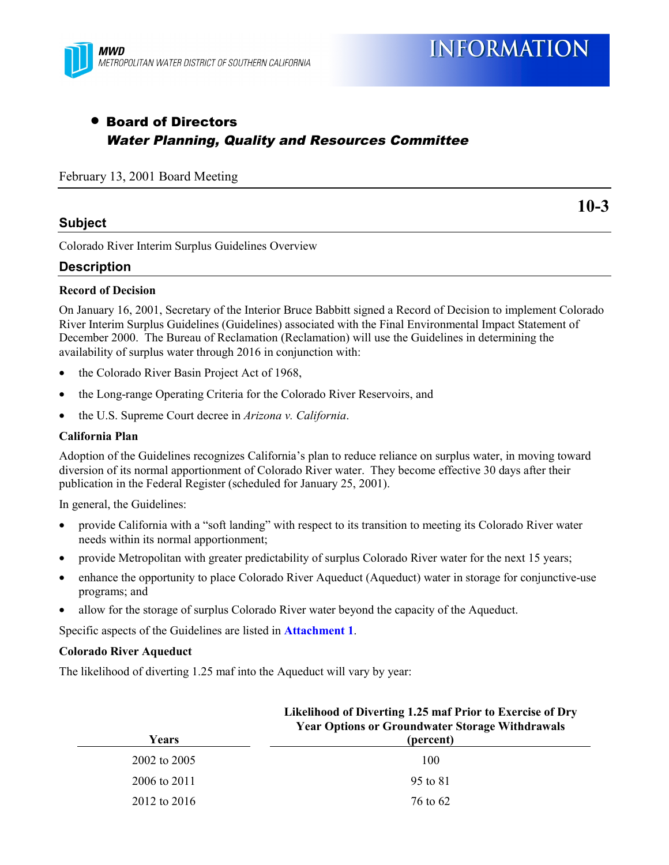

# • Board of Directors Water Planning, Quality and Resources Committee

February 13, 2001 Board Meeting

# **Subject**

**10-3**

Colorado River Interim Surplus Guidelines Overview

# **Description**

#### **Record of Decision**

On January 16, 2001, Secretary of the Interior Bruce Babbitt signed a Record of Decision to implement Colorado River Interim Surplus Guidelines (Guidelines) associated with the Final Environmental Impact Statement of December 2000. The Bureau of Reclamation (Reclamation) will use the Guidelines in determining the availability of surplus water through 2016 in conjunction with:

- the Colorado River Basin Project Act of 1968,
- the Long-range Operating Criteria for the Colorado River Reservoirs, and
- the U.S. Supreme Court decree in *Arizona v. California*.

#### **California Plan**

Adoption of the Guidelines recognizes California's plan to reduce reliance on surplus water, in moving toward diversion of its normal apportionment of Colorado River water. They become effective 30 days after their publication in the Federal Register (scheduled for January 25, 2001).

In general, the Guidelines:

- provide California with a "soft landing" with respect to its transition to meeting its Colorado River water needs within its normal apportionment;
- provide Metropolitan with greater predictability of surplus Colorado River water for the next 15 years;
- enhance the opportunity to place Colorado River Aqueduct (Aqueduct) water in storage for conjunctive-use programs; and
- allow for the storage of surplus Colorado River water beyond the capacity of the Aqueduct.

Specific aspects of the Guidelines are listed in **Attachment 1**.

#### **Colorado River Aqueduct**

The likelihood of diverting 1.25 maf into the Aqueduct will vary by year:

|              | LIKEHHOOD OF DIVETUNG 1.25 Mail Prior to Exercise of Dry<br><b>Year Options or Groundwater Storage Withdrawals</b> |
|--------------|--------------------------------------------------------------------------------------------------------------------|
| Years        | (percent)                                                                                                          |
| 2002 to 2005 | 100                                                                                                                |
| 2006 to 2011 | 95 to 81                                                                                                           |
| 2012 to 2016 | 76 to 62                                                                                                           |

# **Likelihood of Diverting 1.25 maf Prior to Exercise of Dry**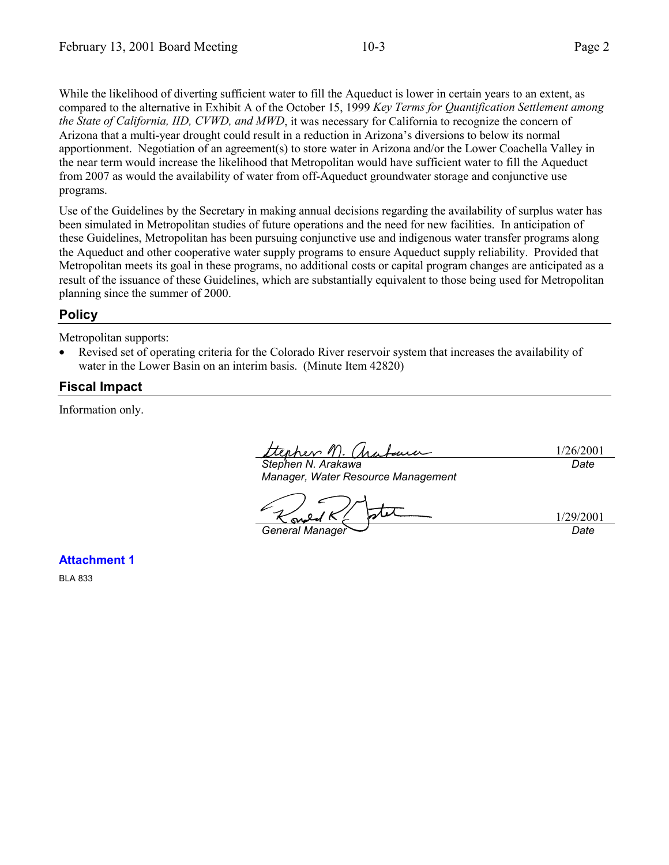While the likelihood of diverting sufficient water to fill the Aqueduct is lower in certain years to an extent, as compared to the alternative in Exhibit A of the October 15, 1999 *Key Terms for Quantification Settlement among the State of California, IID, CVWD, and MWD*, it was necessary for California to recognize the concern of Arizona that a multi-year drought could result in a reduction in Arizona's diversions to below its normal apportionment. Negotiation of an agreement(s) to store water in Arizona and/or the Lower Coachella Valley in the near term would increase the likelihood that Metropolitan would have sufficient water to fill the Aqueduct from 2007 as would the availability of water from off-Aqueduct groundwater storage and conjunctive use programs.

Use of the Guidelines by the Secretary in making annual decisions regarding the availability of surplus water has been simulated in Metropolitan studies of future operations and the need for new facilities. In anticipation of these Guidelines, Metropolitan has been pursuing conjunctive use and indigenous water transfer programs along the Aqueduct and other cooperative water supply programs to ensure Aqueduct supply reliability. Provided that Metropolitan meets its goal in these programs, no additional costs or capital program changes are anticipated as a result of the issuance of these Guidelines, which are substantially equivalent to those being used for Metropolitan planning since the summer of 2000.

# **Policy**

Metropolitan supports:

• Revised set of operating criteria for the Colorado River reservoir system that increases the availability of water in the Lower Basin on an interim basis. (Minute Item 42820)

# **Fiscal Impact**

Information only.

ttephen M. Chabaue 1/26/2001 *Stephen N. Arakawa Date*

*Manager, Water Resource Management*

1/29/2001 sv. *General Manager Date*

**Attachment 1**

BLA 833